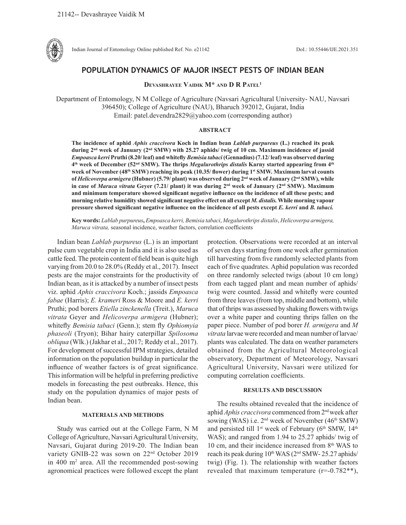

Indian Journal of Entomology Online published Ref. No. e21142 DoI.: 10.55446/IJE.2021.351

# **POPULATION DYNAMICS OF MAJOR INSECT PESTS OF INDIAN BEAN**

**Devashrayee Vaidik M\* and D R Patel1**

Department of Entomology, N M College of Agriculture (Navsari Agricultural University- NAU, Navsari 396450); College of Agriculture (NAU), Bharuch 392012, Gujarat, India Email: patel.devendra2829@yahoo.com (corresponding author)

### **ABSTRACT**

**The incidence of aphid** *Aphis craccivora* **Koch in Indian bean** *Lablab purpureus* **(L.) reached its peak during 2nd week of January (2nd SMW) with 25.27 aphids/ twig of 10 cm. Maximum incidence of jassid**  *Empoasca kerri* **Pruthi (8.20/ leaf) and whitefly** *Bemisia tabaci* **(Gennadius) (7.12/ leaf) was observed during 4th week of December (52nd SMW). The thrips** *Megalurothrips distalis* **Karny started appearing from 4th week of November (48th SMW) reaching its peak (10.35/ flower) during 1st SMW. Maximum larval counts of** *Helicoverpa armigera* **(Hubner) (5.79/ plant) was observed during 2nd week of January (2nd SMW), while in case of** *Maruca vitrata* **Geyer (7.21/ plant) it was during 2nd week of January (2nd SMW). Maximum and minimum temperature showed significant negative influence on the incidence of all these pests; and morning relative humidity showed significant negative effect on all except** *M. distalis.* **While morning vapour pressure showed significant negative influence on the incidence of all pests except** *E. kerri* **and** *B. tabaci.*

**Key words:** *Lablab purpureus***,** *Empoasca kerri, Bemisia tabaci*, *Megalurothrips distalis*, *Helicoverpa armigera, Maruca vitrata,* seasonal incidence, weather factors, correlation coefficients

Indian bean *Lablab purpureus* (L.) is an important pulse cum vegetable crop in India and it is also used as cattle feed. The protein content of field bean is quite high varying from 20.0 to 28.0% (Reddy et al., 2017). Insect pests are the major constraints for the productivity of Indian bean, as it is attacked by a number of insect pests viz. aphid *Aphis craccivora* Koch.; jassids *Empoasca fabae* (Harris); *E. krameri* Ross & Moore and *E. kerri*  Pruthi; pod borers *Etiella zinckenella* (Treit.), *Maruca vitrata* Geyer and *Helicoverpa armigera* (Hubner); whitefly *Bemisia tabaci* (Genn.); stem fly *Ophiomyia phaseoli* (Tryon); Bihar hairy caterpillar *Spilosoma obliqua* (Wlk.) (Jakhar et al., 2017; Reddy et al., 2017). For development of successful IPM strategies, detailed information on the population buildup in particular the influence of weather factors is of great significance. This information will be helpful in preferring predictive models in forecasting the pest outbreaks. Hence, this study on the population dynamics of major pests of Indian bean.

## **MATERIALS AND METHODS**

Study was carried out at the College Farm, N M College of Agriculture, Navsari Agricultural University, Navsari, Gujarat during 2019-20. The Indian bean variety GNIB-22 was sown on 22nd October 2019 in 400 m2 area. All the recommended post-sowing agronomical practices were followed except the plant

protection. Observations were recorded at an interval of seven days starting from one week after germination till harvesting from five randomly selected plants from each of five quadrates. Aphid population was recorded on three randomly selected twigs (about 10 cm long) from each tagged plant and mean number of aphids/ twig were counted. Jassid and whitefly were counted from three leaves (from top, middle and bottom), while that of thrips was assessed by shaking flowers with twigs over a white paper and counting thrips fallen on the paper piece. Number of pod borer *H. armigera* and *M vitrata* larvae were recorded and mean number of larvae/ plants was calculated. The data on weather parameters obtained from the Agricultural Meteorological observatory, Department of Meteorology, Navsari Agricultural University, Navsari were utilized for computing correlation coefficients.

#### **RESULTS AND DISCUSSION**

The results obtained revealed that the incidence of aphid *Aphis craccivora* commenced from 2nd week after sowing (WAS) i.e.  $2<sup>nd</sup>$  week of November (46<sup>th</sup> SMW) and persisted till  $1<sup>st</sup>$  week of February (6<sup>th</sup> SMW,  $14<sup>th</sup>$ ) WAS); and ranged from 1.94 to 25.27 aphids/ twig of 10 cm, and their incidence increased from 8<sup>th</sup> WAS to reach its peak during 10<sup>th</sup> WAS (2<sup>nd</sup> SMW- 25.27 aphids/ twig) (Fig. 1). The relationship with weather factors revealed that maximum temperature (r=-0.782\*\*),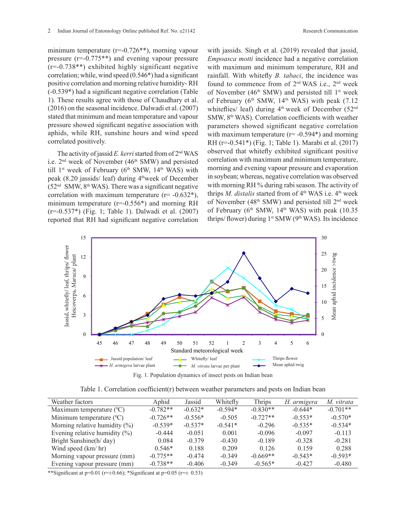minimum temperature (r=-0.726<sup>\*\*</sup>), morning vapour pressure (r=-0.775\*\*) and evening vapour pressure  $(r=-0.738**)$  exhibited highly significant negative correlation; while, wind speed (0.546\*) had a significant positive correlation and morning relative humidity- RH (-0.539\*) had a significant negative correlation (Table 1). These results agree with those of Chaudhary et al. (2016) on the seasonal incidence. Dalwadi et al. (2007) stated that minimum and mean temperature and vapour pressure showed significant negative association with aphids, while RH, sunshine hours and wind speed correlated positively.

The activity of jassid *E. kerri* started from of 2nd WAS i.e.  $2<sup>nd</sup>$  week of November (46<sup>th</sup> SMW) and persisted till  $1<sup>st</sup>$  week of February ( $6<sup>th</sup>$  SMW,  $14<sup>th</sup>$  WAS) with peak (8.20 jassids/ leaf) during  $4^{\text{th}}$ week of December  $(52<sup>nd</sup> SMW, 8<sup>th</sup> WAS)$ . There was a significant negative correlation with maximum temperature  $(r= -0.632^*)$ , minimum temperature (r=-0.556\*) and morning RH (r=-0.537\*) (Fig. 1; Table 1). Dalwadi et al. (2007) reported that RH had significant negative correlation with jassids. Singh et al. (2019) revealed that jassid, *Empoasca motti* incidence had a negative correlation with maximum and minimum temperature, RH and rainfall. With whitefly *B. tabaci*, the incidence was found to commence from of 2nd WAS i.e., 2nd week of November (46<sup>th</sup> SMW) and persisted till  $1<sup>st</sup>$  week of February ( $6<sup>th</sup>$  SMW,  $14<sup>th</sup>$  WAS) with peak (7.12) whiteflies/ leaf) during  $4<sup>th</sup>$  week of December (52<sup>nd</sup>) SMW, 8<sup>th</sup> WAS). Correlation coefficients with weather parameters showed significant negative correlation with maximum temperature  $(r= -0.594*)$  and morning RH (r=-0.541\*) (Fig. 1; Table 1). Marabi et al. (2017) observed that whitefly exhibited significant positive correlation with maximum and minimum temperature, morning and evening vapour pressure and evaporation in soybean; whereas, negative correlation was observed with morning RH % during rabi season. The activity of thrips *M. distalis* started from of 4<sup>th</sup> WAS i.e. 4<sup>th</sup> week of November (48th SMW) and persisted till 2nd week of February ( $6<sup>th</sup>$  SMW,  $14<sup>th</sup>$  WAS) with peak (10.35) thrips/ flower) during  $1<sup>st</sup>$  SMW ( $9<sup>th</sup>$  WAS). Its incidence



Table 1. Correlation coefficient(r) between weather parameters and pests on Indian bean

| Weather factors                   | Aphid      | Jassid    | Whitefly  | <b>Thrips</b> | H. armigera | M. vitrata |
|-----------------------------------|------------|-----------|-----------|---------------|-------------|------------|
| Maximum temperature $({}^0C)$     | $-0.782**$ | $-0.632*$ | $-0.594*$ | $-0.830**$    | $-0.644*$   | $-0.701**$ |
| Minimum temperature $(^{0}C)$     | $-0.726**$ | $-0.556*$ | $-0.505$  | $-0.727**$    | $-0.553*$   | $-0.570*$  |
| Morning relative humidity $(\%)$  | $-0.539*$  | $-0.537*$ | $-0.541*$ | $-0.296$      | $-0.535*$   | $-0.534*$  |
| Evening relative humidity $(\% )$ | $-0.444$   | $-0.051$  | 0.001     | $-0.096$      | $-0.097$    | $-0.113$   |
| Bright Sunshine(h/day)            | 0.084      | $-0.379$  | $-0.430$  | $-0.189$      | $-0.328$    | $-0.281$   |
| Wind speed $(km/hr)$              | $0.546*$   | 0.188     | 0.209     | 0.126         | 0.159       | 0.288      |
| Morning vapour pressure (mm)      | $-0.775**$ | $-0.474$  | $-0.349$  | $-0.669**$    | $-0.543*$   | $-0.593*$  |
| Evening vapour pressure (mm)      | $-0.738**$ | $-0.406$  | $-0.349$  | $-0.565*$     | $-0.427$    | $-0.480$   |

\*\*Significant at  $p=0.01$  ( $r=\pm 0.66$ ); \*Significant at  $p=0.05$  ( $r=\pm 0.53$ )